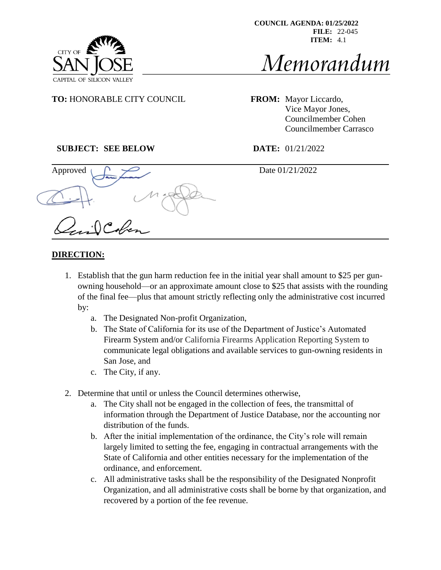

# Memorandum

**TO:** HONORABLE CITY COUNCIL **FROM:** Mayor Liccardo,

Vice Mayor Jones, Councilmember Cohen Councilmember Carrasco

# **SUBJECT: SEE BELOW DATE:** 01/21/2022

Approved  $\bigcap$   $\bigcap$ 

 $\int$ 

# **DIRECTION:**

1. Establish that the gun harm reduction fee in the initial year shall amount to \$25 per gunowning household—or an approximate amount close to \$25 that assists with the rounding of the final fee—plus that amount strictly reflecting only the administrative cost incurred by:

j

- a. The Designated Non-profit Organization,
- b. The State of California for its use of the Department of Justice's Automated Firearm System and/or California Firearms Application Reporting System to communicate legal obligations and available services to gun-owning residents in San Jose, and
- c. The City, if any.
- 2. Determine that until or unless the Council determines otherwise,
	- a. The City shall not be engaged in the collection of fees, the transmittal of information through the Department of Justice Database, nor the accounting nor distribution of the funds.
	- b. After the initial implementation of the ordinance, the City's role will remain largely limited to setting the fee, engaging in contractual arrangements with the State of California and other entities necessary for the implementation of the ordinance, and enforcement.
	- c. All administrative tasks shall be the responsibility of the Designated Nonprofit Organization, and all administrative costs shall be borne by that organization, and recovered by a portion of the fee revenue.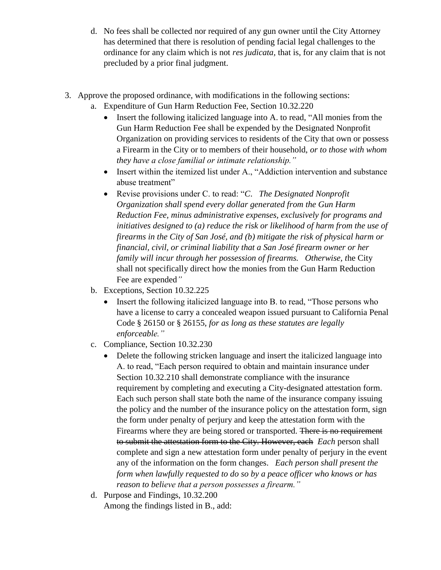- d. No fees shall be collected nor required of any gun owner until the City Attorney has determined that there is resolution of pending facial legal challenges to the ordinance for any claim which is not *res judicata,* that is, for any claim that is not precluded by a prior final judgment.
- 3. Approve the proposed ordinance, with modifications in the following sections:
	- a. Expenditure of Gun Harm Reduction Fee, Section 10.32.220
		- Insert the following italicized language into A. to read, "All monies from the Gun Harm Reduction Fee shall be expended by the Designated Nonprofit Organization on providing services to residents of the City that own or possess a Firearm in the City or to members of their household, *or to those with whom they have a close familial or intimate relationship."*
		- Insert within the itemized list under A., "Addiction intervention and substance abuse treatment"
		- Revise provisions under C. to read: "*C*. *The Designated Nonprofit Organization shall spend every dollar generated from the Gun Harm Reduction Fee, minus administrative expenses, exclusively for programs and initiatives designed to (a) reduce the risk or likelihood of harm from the use of firearms in the City of San José, and (b) mitigate the risk of physical harm or financial, civil, or criminal liability that a San José firearm owner or her family will incur through her possession of firearms. Otherwise, t*he City shall not specifically direct how the monies from the Gun Harm Reduction Fee are expended*"*
	- b. Exceptions, Section 10.32.225
		- Insert the following italicized language into B. to read, "Those persons who have a license to carry a concealed weapon issued pursuant to California Penal Code § 26150 or § 26155, *for as long as these statutes are legally enforceable."*
	- c. Compliance, Section 10.32.230
		- Delete the following stricken language and insert the italicized language into A. to read, "Each person required to obtain and maintain insurance under Section 10.32.210 shall demonstrate compliance with the insurance requirement by completing and executing a City-designated attestation form. Each such person shall state both the name of the insurance company issuing the policy and the number of the insurance policy on the attestation form, sign the form under penalty of perjury and keep the attestation form with the Firearms where they are being stored or transported. There is no requirement to submit the attestation form to the City. However, each *Each* person shall complete and sign a new attestation form under penalty of perjury in the event any of the information on the form changes. *Each person shall present the form when lawfully requested to do so by a peace officer who knows or has reason to believe that a person possesses a firearm."*
	- d. Purpose and Findings, 10.32.200 Among the findings listed in B., add: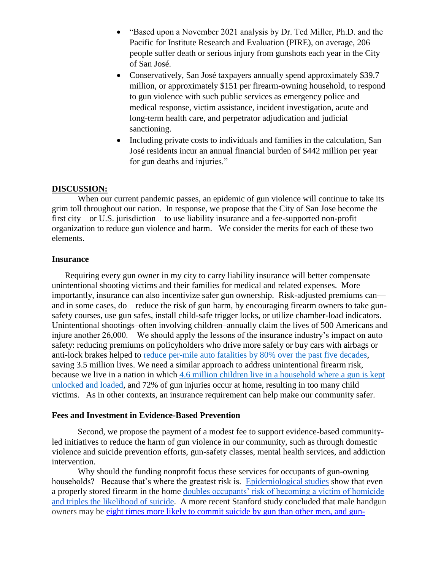- "Based upon a November 2021 analysis by Dr. Ted Miller, Ph.D. and the Pacific for Institute Research and Evaluation (PIRE), on average, 206 people suffer death or serious injury from gunshots each year in the City of San José.
- Conservatively, San José taxpayers annually spend approximately \$39.7 million, or approximately \$151 per firearm-owning household, to respond to gun violence with such public services as emergency police and medical response, victim assistance, incident investigation, acute and long-term health care, and perpetrator adjudication and judicial sanctioning.
- Including private costs to individuals and families in the calculation, San José residents incur an annual financial burden of \$442 million per year for gun deaths and injuries."

## **DISCUSSION:**

When our current pandemic passes, an epidemic of gun violence will continue to take its grim toll throughout our nation. In response, we propose that the City of San Jose become the first city—or U.S. jurisdiction—to use liability insurance and a fee-supported non-profit organization to reduce gun violence and harm. We consider the merits for each of these two elements.

#### **Insurance**

Requiring every gun owner in my city to carry liability insurance will better compensate unintentional shooting victims and their families for medical and related expenses. More importantly, insurance can also incentivize safer gun ownership. Risk-adjusted premiums can and in some cases, do—reduce the risk of gun harm, by encouraging firearm owners to take gunsafety courses, use gun safes, install child-safe trigger locks, or utilize chamber-load indicators. Unintentional shootings–often involving children–annually claim the lives of 500 Americans and injure another 26,000. We should apply the lessons of the insurance industry's impact on auto safety: reducing premiums on policyholders who drive more safely or buy cars with airbags or anti-lock brakes helped to [reduce per-mile auto fatalities by 80% over the past five decades,](https://efsgv.org/learn/learn-more-about-gun-violence/public-health-approach-to-gun-violence-prevention/) saving 3.5 million lives. We need a similar approach to address unintentional firearm risk, because we live in a nation in which 4.6 million [children live in](https://pubmed.ncbi.nlm.nih.gov/29748766/#:~:text=Approximately%207%25%20of%20US%20children,representative%20survey%20assessed%20this%20outcome.) [a household where a gun is kept](https://pubmed.ncbi.nlm.nih.gov/29748766/#:~:text=Approximately%207%25%20of%20US%20children,representative%20survey%20assessed%20this%20outcome.)  [unlocked and loaded,](https://pubmed.ncbi.nlm.nih.gov/29748766/#:~:text=Approximately%207%25%20of%20US%20children,representative%20survey%20assessed%20this%20outcome.) and 72% of gun injuries occur at home, resulting in too many child victims. As in other contexts, an insurance requirement can help make our community safer.

## **Fees and Investment in Evidence-Based Prevention**

Second, we propose the payment of a modest fee to support evidence-based communityled initiatives to reduce the harm of gun violence in our community, such as through domestic violence and suicide prevention efforts, gun-safety classes, mental health services, and addiction intervention.

Why should the funding nonprofit focus these services for occupants of gun-owning households? Because that's where the greatest risk is. [Epidemiological studies](https://pubmed.ncbi.nlm.nih.gov/15522849/) show that even a properly stored firearm in the home [doubles occupants' risk of becoming a victim of homicide](https://www.acpjournals.org/doi/full/10.7326/M13-1301?journalCode=aim)  [and triples](https://www.acpjournals.org/doi/full/10.7326/M13-1301?journalCode=aim) [the likelihood of suicide.](https://www.acpjournals.org/doi/suppl/10.7326/M13-1301/suppl_file/AIME201401210-00006-v1.pdf) A more recent Stanford study concluded that male handgun owners may be [eight times more likely to commit suicide by gun than other men, and gun-](https://med.stanford.edu/news/all-news/2020/06/handgun-ownership-associated-with-much-higher-suicide-risk.html)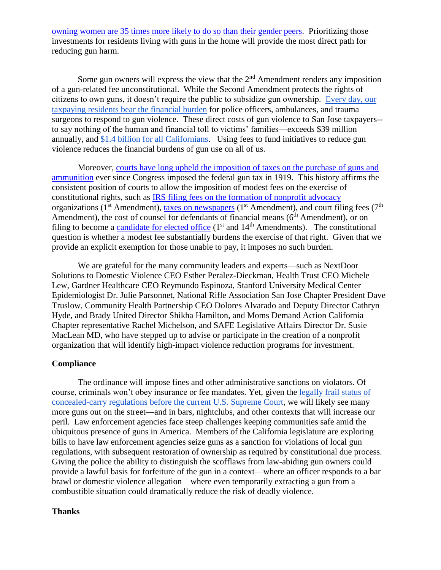[owning women are 35 times more likely to do so than their gender peers.](https://med.stanford.edu/news/all-news/2020/06/handgun-ownership-associated-with-much-higher-suicide-risk.html) Prioritizing those investments for residents living with guns in the home will provide the most direct path for reducing gun harm.

Some gun owners will express the view that the  $2<sup>nd</sup>$  Amendment renders any imposition of a gun-related fee unconstitutional. While the Second Amendment protects the rights of citizens to own guns, it doesn't require the public to subsidize gun ownership. [Every day, our](https://www.motherjones.com/politics/2015/04/true-cost-of-gun-violence-in-america/)  [taxpaying residents bear the financial burden](https://www.motherjones.com/politics/2015/04/true-cost-of-gun-violence-in-america/) for police officers, ambulances, and trauma surgeons to respond to gun violence. These direct costs of gun violence to San Jose taxpayers- to say nothing of the human and financial toll to victims' families—exceeds \$39 million annually, an[d](https://giffords.org/wp-content/uploads/2018/03/Economic-Cost-of-Gun-Violence-in-California.pdf) [\\$1.4 billion for a](https://giffords.org/wp-content/uploads/2018/03/Economic-Cost-of-Gun-Violence-in-California.pdf)ll Californians. Using fees to fund initiatives to reduce gun violence reduces the financial burdens of gun use on all of us.

Moreover, [courts have long upheld the imposition of taxes on the purchase of guns and](https://www.jstor.org/stable/2148937)  [ammunition](https://www.jstor.org/stable/2148937) ever since Congress imposed the federal gun tax in 1919. This history affirms the consistent position of courts to allow the imposition of modest fees on the exercise of constitutional rights, such as [IRS filing fees on the formation of nonprofit advocacy](https://www.irs.gov/charities-non-profits/electronically-submit-your-form-8976-notice-of-intent-to-operate-under-section-501c4) organizations ( $1<sup>st</sup>$  Amendment), [taxes on newspapers](https://supreme.justia.com/cases/federal/us/297/233/) ( $1<sup>st</sup>$  Amendment), and court filing fees ( $7<sup>th</sup>$ Amendment), the cost of counsel for defendants of financial means  $(6<sup>th</sup>$  Amendment), or on filing to become a [candidate for elected office](https://www.jstor.org/stable/2148937)  $(1<sup>st</sup>$  and  $14<sup>th</sup>$  Amendments). The constitutional question is whether a modest fee substantially burdens the exercise of that right. Given that we provide an explicit exemption for those unable to pay, it imposes no such burden.

We are grateful for the many community leaders and experts—such as NextDoor Solutions to Domestic Violence CEO Esther Peralez-Dieckman, Health Trust CEO Michele Lew, Gardner Healthcare CEO Reymundo Espinoza, Stanford University Medical Center Epidemiologist Dr. Julie Parsonnet, National Rifle Association San Jose Chapter President Dave Truslow, Community Health Partnership CEO Dolores Alvarado and Deputy Director Cathryn Hyde, and Brady United Director Shikha Hamilton, and Moms Demand Action California Chapter representative Rachel Michelson, and SAFE Legislative Affairs Director Dr. Susie MacLean MD, who have stepped up to advise or participate in the creation of a nonprofit organization that will identify high-impact violence reduction programs for investment.

#### **Compliance**

The ordinance will impose fines and other administrative sanctions on violators. Of course, criminals won't obey insurance or fee mandates. Yet, given the [legally frail status of](https://www.scotusblog.com/2021/11/majority-of-court-appears-dubious-of-new-york-gun-control-law-but-justices-mull-narrow-ruling/)  [concealed-carry regulations before the current U.S. Supreme Court,](https://www.scotusblog.com/2021/11/majority-of-court-appears-dubious-of-new-york-gun-control-law-but-justices-mull-narrow-ruling/) we will likely see many more guns out on the street—and in bars, nightclubs, and other contexts that will increase our peril. Law enforcement agencies face steep challenges keeping communities safe amid the ubiquitous presence of guns in America. Members of the California legislature are exploring bills to have law enforcement agencies seize guns as a sanction for violations of local gun regulations, with subsequent restoration of ownership as required by constitutional due process. Giving the police the ability to distinguish the scofflaws from law-abiding gun owners could provide a lawful basis for forfeiture of the gun in a context—where an officer responds to a bar brawl or domestic violence allegation—where even temporarily extracting a gun from a combustible situation could dramatically reduce the risk of deadly violence.

## **Thanks**